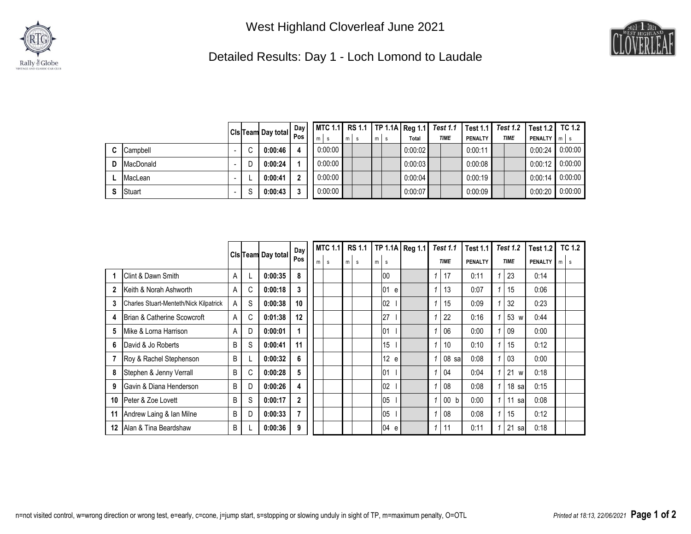



Detailed Results: Day 1 - Loch Lomond to Laudale

|   |           |   | <b>Solution</b> I Cls Team Day total $\begin{bmatrix} \nu \omega_J \\ \rho_{OS} \end{bmatrix}$ <b>I</b> |   |         |     |   |   |         | MTC 1.1 RS 1.1   TP 1.1A   Reg 1.1   Test 1.1 |         | Test 1.1   Test 1.2   Test 1.2   TC 1.2 |                    |         |
|---|-----------|---|---------------------------------------------------------------------------------------------------------|---|---------|-----|---|---|---------|-----------------------------------------------|---------|-----------------------------------------|--------------------|---------|
|   |           |   |                                                                                                         | m |         | m I | m | s | Total   | <b>TIME</b>                                   | PENALTY | <b>TIME</b>                             | <b>PENALTY</b> m s |         |
| C | Campbell  |   | 0:00:46                                                                                                 |   | 0:00:00 |     |   |   | 0:00:02 |                                               | 0:00:11 |                                         | 0:00:24            | 0:00:00 |
| D | MacDonald | D | 0:00:24                                                                                                 |   | 0:00:00 |     |   |   | 0:00:03 |                                               | 0:00:08 |                                         | 0:00:12            | 0:00:00 |
|   | MacLean   |   | 0:00:41                                                                                                 |   | 0:00:00 |     |   |   | 0:00:04 |                                               | 0:00:19 |                                         | 0:00:14            | 0:00:00 |
| S | Stuart    | S | 0:00:43                                                                                                 |   | 0:00:00 |     |   |   | 0:00:07 |                                               | 0:00:09 |                                         | 0:00:20            | 0:00:00 |

|             |                                               |   |                    |         | Day            | <b>MTC 1.1</b> | <b>RS 1.1</b> |  |          | TP 1.1A Reg 1.1 |   | <b>Test 1.1</b>  | <b>Test 1.1</b> | <b>Test 1.2</b> |                  | <b>Test 1.2</b> |   | <b>TC 1.2</b> |
|-------------|-----------------------------------------------|---|--------------------|---------|----------------|----------------|---------------|--|----------|-----------------|---|------------------|-----------------|-----------------|------------------|-----------------|---|---------------|
|             |                                               |   | Cls Team Day total |         | Pos            | m<br>s         | m<br>s        |  | s        |                 |   | <b>TIME</b>      | PENALTY         | <b>TIME</b>     |                  | <b>PENALTY</b>  | m | s             |
|             | Clint & Dawn Smith                            | A |                    | 0:00:35 | 8              |                |               |  | 100      |                 |   | 17               | 0:11            |                 | 23               | 0:14            |   |               |
| $\mathbf 2$ | Keith & Norah Ashworth                        | A | C                  | 0:00:18 | 3              |                |               |  | 101<br>e |                 | 1 | 13               | 0:07            |                 | 15               | 0:06            |   |               |
| 3           | <b>Charles Stuart-Menteth/Nick Kilpatrick</b> | A | S                  | 0:00:38 | 10             |                |               |  | 02       |                 | 1 | 15               | 0:09            |                 | 32               | 0:23            |   |               |
| 4           | Brian & Catherine Scowcroft                   | A | C                  | 0:01:38 | 12             |                |               |  | 27       |                 |   | 22               | 0:16            |                 | 53 w             | 0:44            |   |               |
| 5           | Mike & Lorna Harrison                         | A | D                  | 0:00:01 | 1              |                |               |  | 01       |                 |   | 06               | 0:00            |                 | 09               | 0:00            |   |               |
| 6           | David & Jo Roberts                            | B | S                  | 0:00:41 | 11             |                |               |  | 15       |                 |   | 10               | 0:10            |                 | 15               | 0:12            |   |               |
|             | Roy & Rachel Stephenson                       | B |                    | 0:00:32 | 6              |                |               |  | 12 e     |                 | 1 | 08 <sub>sa</sub> | 0:08            |                 | 03               | 0:00            |   |               |
| 8           | Stephen & Jenny Verrall                       | B | C                  | 0:00:28 | 5              |                |               |  | 01       |                 | 1 | 04               | 0:04            |                 | 21 w             | 0:18            |   |               |
| 9           | Gavin & Diana Henderson                       | B | D                  | 0:00:26 | 4              |                |               |  | 102      |                 |   | 08               | 0:08            |                 | 18 <sub>sa</sub> | 0:15            |   |               |
| 10          | Peter & Zoe Lovett                            | B | S                  | 0:00:17 | $\mathbf{2}$   |                |               |  | 05       |                 | 1 | 00 <sub>b</sub>  | 0:00            |                 | $11$ sa          | 0:08            |   |               |
| 11          | Andrew Laing & Ian Milne                      | B | D                  | 0:00:33 | $\overline{7}$ |                |               |  | 05       |                 |   | 08               | 0:08            |                 | 15               | 0:12            |   |               |
| 12          | Alan & Tina Beardshaw                         | B |                    | 0:00:36 | 9              |                |               |  | 04 e     |                 | 1 | 11               | 0:11            | 1               | $21$ sa          | 0:18            |   |               |